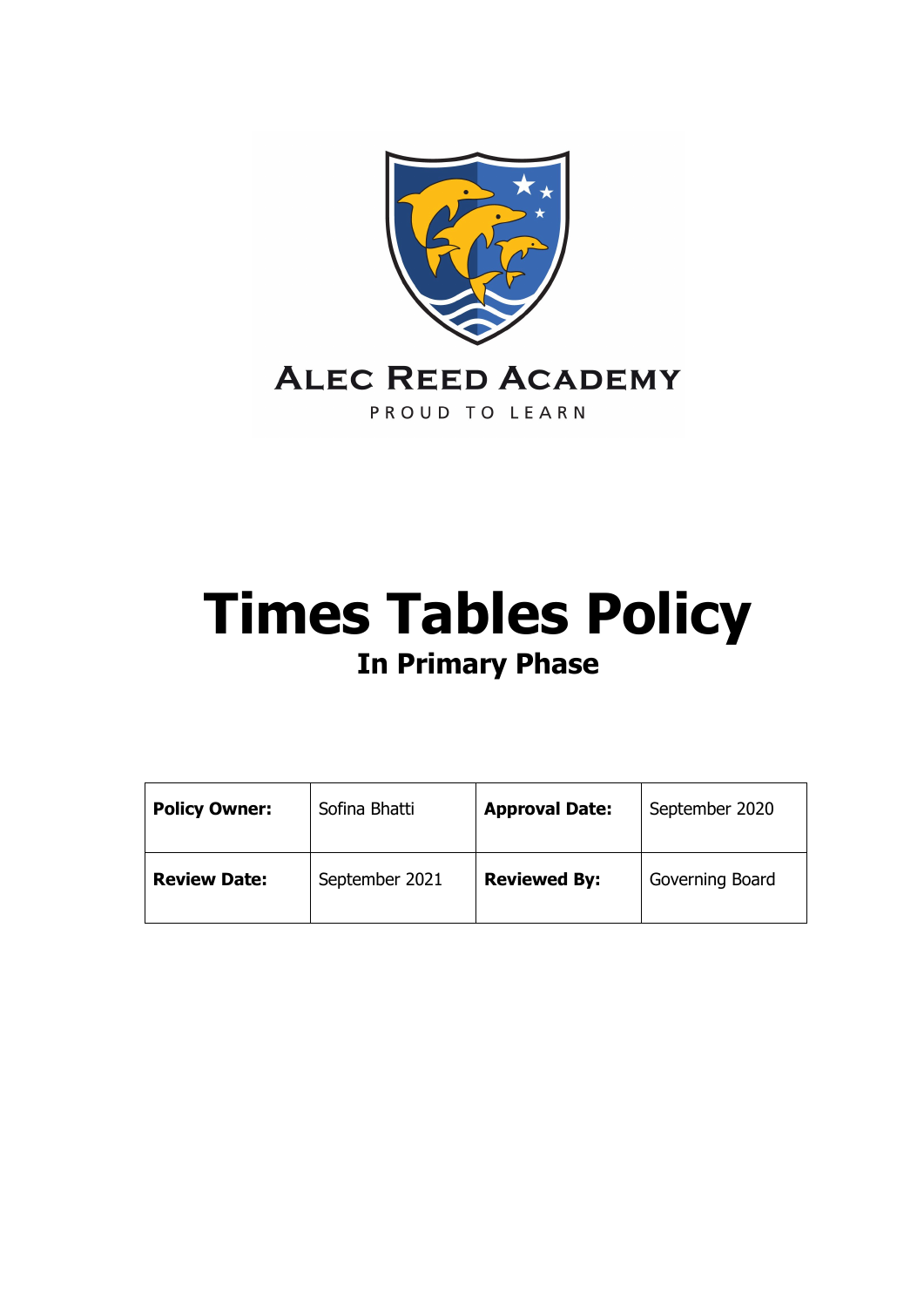

# **Times Tables Policy In Primary Phase**

| <b>Policy Owner:</b> | Sofina Bhatti  | <b>Approval Date:</b> | September 2020  |
|----------------------|----------------|-----------------------|-----------------|
| <b>Review Date:</b>  | September 2021 | <b>Reviewed By:</b>   | Governing Board |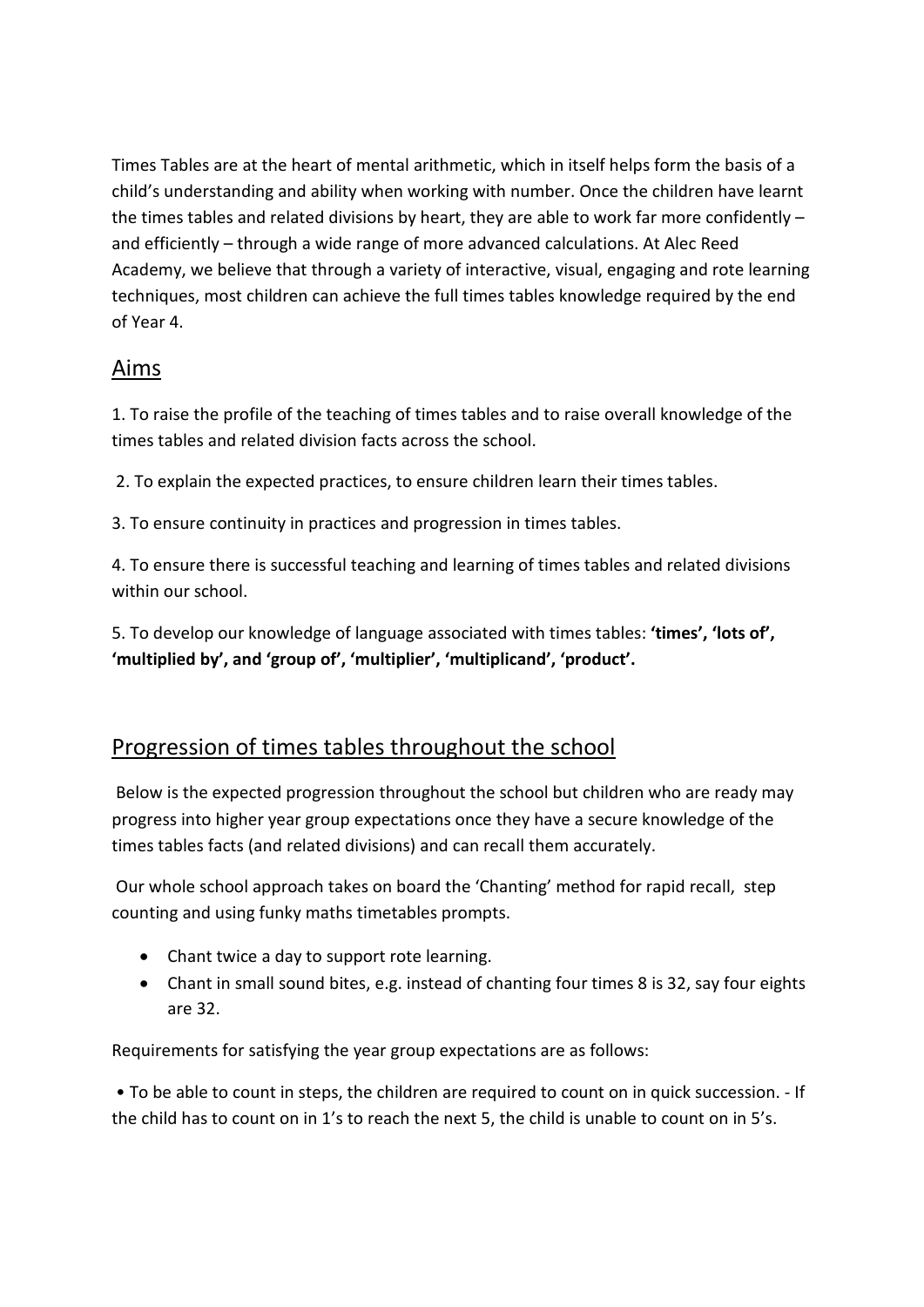Times Tables are at the heart of mental arithmetic, which in itself helps form the basis of a child's understanding and ability when working with number. Once the children have learnt the times tables and related divisions by heart, they are able to work far more confidently – and efficiently – through a wide range of more advanced calculations. At Alec Reed Academy, we believe that through a variety of interactive, visual, engaging and rote learning techniques, most children can achieve the full times tables knowledge required by the end of Year 4.

## Aims

1. To raise the profile of the teaching of times tables and to raise overall knowledge of the times tables and related division facts across the school.

2. To explain the expected practices, to ensure children learn their times tables.

3. To ensure continuity in practices and progression in times tables.

4. To ensure there is successful teaching and learning of times tables and related divisions within our school.

5. To develop our knowledge of language associated with times tables: **'times', 'lots of', 'multiplied by', and 'group of', 'multiplier', 'multiplicand', 'product'.**

## Progression of times tables throughout the school

Below is the expected progression throughout the school but children who are ready may progress into higher year group expectations once they have a secure knowledge of the times tables facts (and related divisions) and can recall them accurately.

Our whole school approach takes on board the 'Chanting' method for rapid recall, step counting and using funky maths timetables prompts.

- Chant twice a day to support rote learning.
- Chant in small sound bites, e.g. instead of chanting four times 8 is 32, say four eights are 32.

Requirements for satisfying the year group expectations are as follows:

• To be able to count in steps, the children are required to count on in quick succession. - If the child has to count on in 1's to reach the next 5, the child is unable to count on in 5's.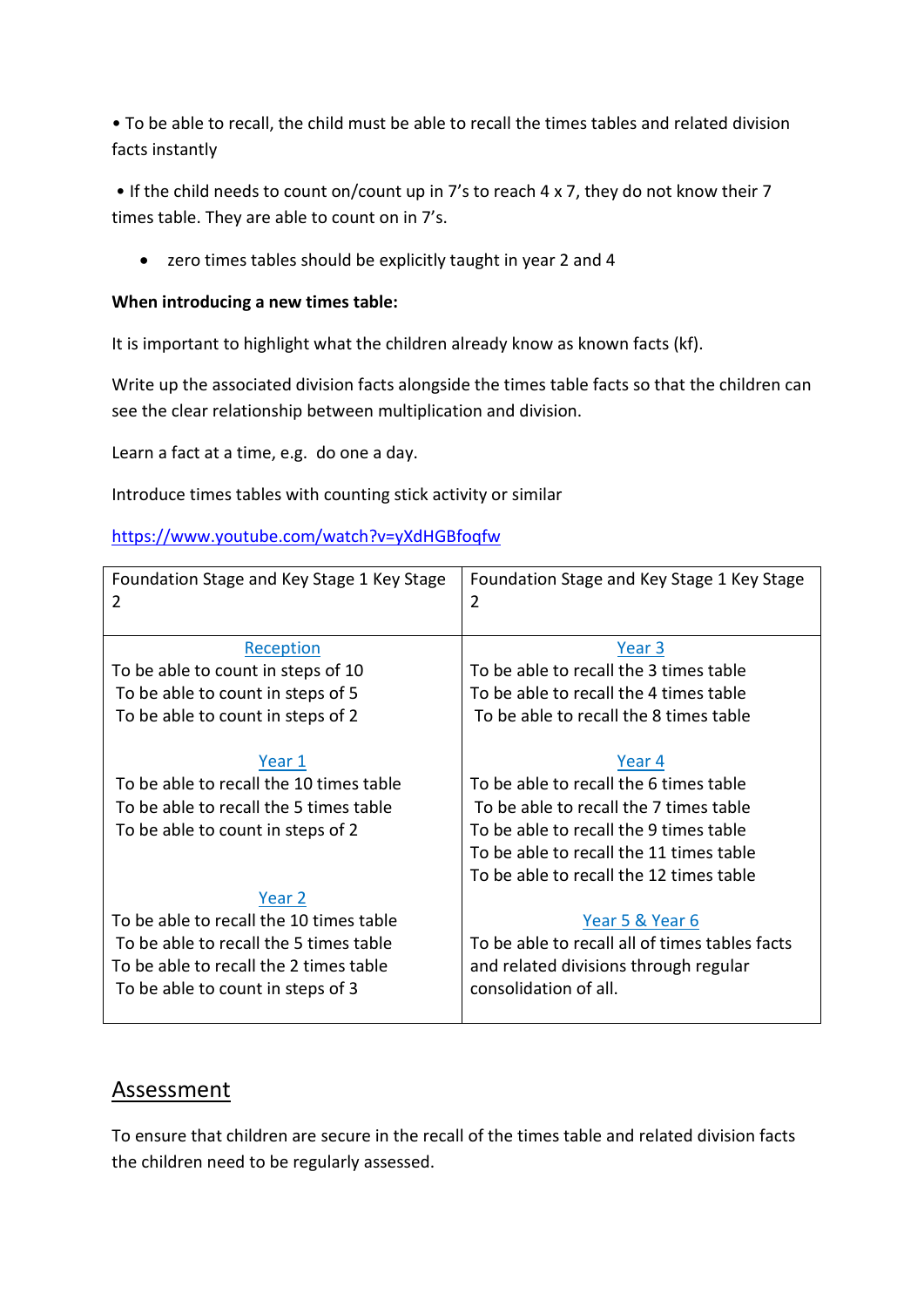• To be able to recall, the child must be able to recall the times tables and related division facts instantly

• If the child needs to count on/count up in 7's to reach 4 x 7, they do not know their 7 times table. They are able to count on in 7's.

• zero times tables should be explicitly taught in year 2 and 4

#### **When introducing a new times table:**

It is important to highlight what the children already know as known facts (kf).

Write up the associated division facts alongside the times table facts so that the children can see the clear relationship between multiplication and division.

Learn a fact at a time, e.g. do one a day.

Introduce times tables with counting stick activity or similar

<https://www.youtube.com/watch?v=yXdHGBfoqfw>

| Foundation Stage and Key Stage 1 Key Stage<br>2 | Foundation Stage and Key Stage 1 Key Stage<br>$\overline{2}$ |  |
|-------------------------------------------------|--------------------------------------------------------------|--|
| Reception                                       | Year 3                                                       |  |
| To be able to count in steps of 10              | To be able to recall the 3 times table                       |  |
| To be able to count in steps of 5               | To be able to recall the 4 times table                       |  |
| To be able to count in steps of 2               | To be able to recall the 8 times table                       |  |
|                                                 |                                                              |  |
| Year 1                                          | Year 4                                                       |  |
| To be able to recall the 10 times table         | To be able to recall the 6 times table                       |  |
| To be able to recall the 5 times table          | To be able to recall the 7 times table                       |  |
| To be able to count in steps of 2               | To be able to recall the 9 times table                       |  |
|                                                 | To be able to recall the 11 times table                      |  |
|                                                 | To be able to recall the 12 times table                      |  |
| Year 2                                          |                                                              |  |
| To be able to recall the 10 times table         | Year 5 & Year 6                                              |  |
| To be able to recall the 5 times table          | To be able to recall all of times tables facts               |  |
| To be able to recall the 2 times table          | and related divisions through regular                        |  |
| To be able to count in steps of 3               | consolidation of all.                                        |  |
|                                                 |                                                              |  |

#### Assessment

To ensure that children are secure in the recall of the times table and related division facts the children need to be regularly assessed.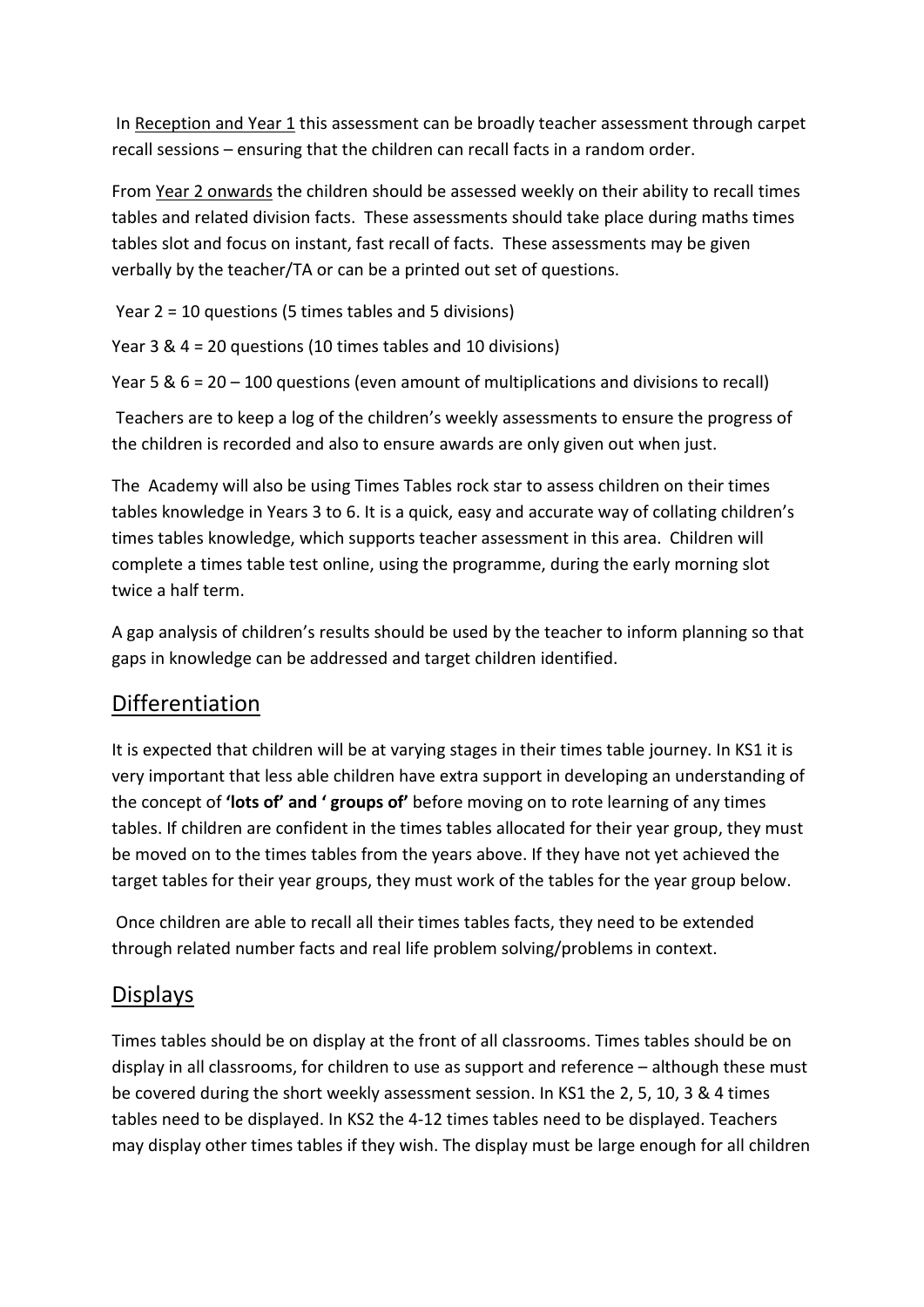In Reception and Year 1 this assessment can be broadly teacher assessment through carpet recall sessions – ensuring that the children can recall facts in a random order.

From Year 2 onwards the children should be assessed weekly on their ability to recall times tables and related division facts. These assessments should take place during maths times tables slot and focus on instant, fast recall of facts. These assessments may be given verbally by the teacher/TA or can be a printed out set of questions.

Year 2 = 10 questions (5 times tables and 5 divisions)

Year 3 & 4 = 20 questions (10 times tables and 10 divisions)

Year 5 & 6 = 20 – 100 questions (even amount of multiplications and divisions to recall)

Teachers are to keep a log of the children's weekly assessments to ensure the progress of the children is recorded and also to ensure awards are only given out when just.

The Academy will also be using Times Tables rock star to assess children on their times tables knowledge in Years 3 to 6. It is a quick, easy and accurate way of collating children's times tables knowledge, which supports teacher assessment in this area. Children will complete a times table test online, using the programme, during the early morning slot twice a half term.

A gap analysis of children's results should be used by the teacher to inform planning so that gaps in knowledge can be addressed and target children identified.

## Differentiation

It is expected that children will be at varying stages in their times table journey. In KS1 it is very important that less able children have extra support in developing an understanding of the concept of **'lots of' and ' groups of'** before moving on to rote learning of any times tables. If children are confident in the times tables allocated for their year group, they must be moved on to the times tables from the years above. If they have not yet achieved the target tables for their year groups, they must work of the tables for the year group below.

Once children are able to recall all their times tables facts, they need to be extended through related number facts and real life problem solving/problems in context.

#### Displays

Times tables should be on display at the front of all classrooms. Times tables should be on display in all classrooms, for children to use as support and reference – although these must be covered during the short weekly assessment session. In KS1 the 2, 5, 10, 3 & 4 times tables need to be displayed. In KS2 the 4-12 times tables need to be displayed. Teachers may display other times tables if they wish. The display must be large enough for all children